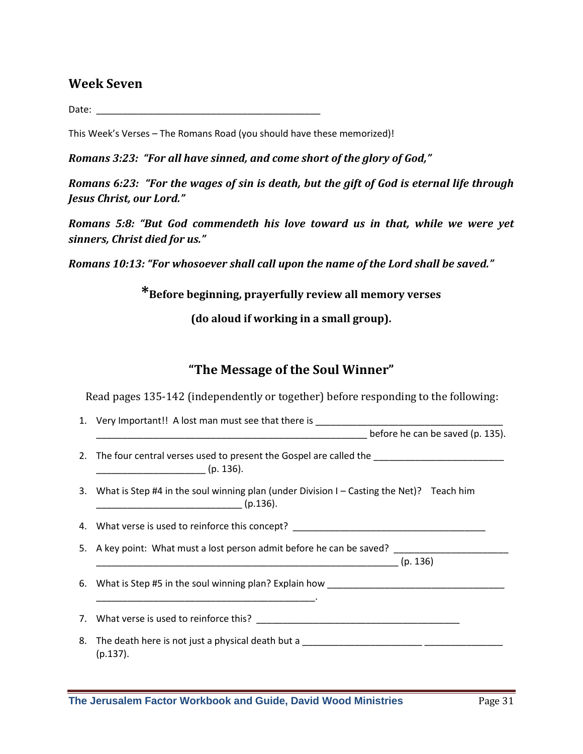### **Week Seven**

Date: \_\_\_\_\_\_\_\_\_\_\_\_\_\_\_\_\_\_\_\_\_\_\_\_\_\_\_\_\_\_\_\_\_\_\_\_\_\_\_\_\_\_\_

This Week's Verses – The Romans Road (you should have these memorized)!

*Romans 3:23: "For all have sinned, and come short of the glory of God,"*

*Romans 6:23: "For the wages of sin is death, but the gift of God is eternal life through Jesus Christ, our Lord."*

*Romans 5:8: "But God commendeth his love toward us in that, while we were yet sinners, Christ died for us."*

*Romans 10:13: "For whosoever shall call upon the name of the Lord shall be saved."*

**\*Before beginning, prayerfully review all memory verses**

**(do aloud if working in a small group).**

# **"The Message of the Soul Winner"**

Read pages 135-142 (independently or together) before responding to the following:

| 1. Very Important!! A lost man must see that there is __________________________                                                                                                                                                                                                                                                                                                                                                                                                                                             |
|------------------------------------------------------------------------------------------------------------------------------------------------------------------------------------------------------------------------------------------------------------------------------------------------------------------------------------------------------------------------------------------------------------------------------------------------------------------------------------------------------------------------------|
| before he can be saved (p. 135).                                                                                                                                                                                                                                                                                                                                                                                                                                                                                             |
| 2. The four central verses used to present the Gospel are called the _______________________________<br>$\frac{1}{\sqrt{1-\frac{1}{2}}\sqrt{1-\frac{1}{2}}\sqrt{1-\frac{1}{2}}\sqrt{1-\frac{1}{2}}\sqrt{1-\frac{1}{2}}\sqrt{1-\frac{1}{2}}\sqrt{1-\frac{1}{2}}\sqrt{1-\frac{1}{2}}\sqrt{1-\frac{1}{2}}\sqrt{1-\frac{1}{2}}\sqrt{1-\frac{1}{2}}\sqrt{1-\frac{1}{2}}\sqrt{1-\frac{1}{2}}\sqrt{1-\frac{1}{2}}\sqrt{1-\frac{1}{2}}\sqrt{1-\frac{1}{2}}\sqrt{1-\frac{1}{2}}\sqrt{1-\frac{1}{2}}\sqrt{1-\frac{1}{2}}\sqrt{1-\frac$ |
| 3. What is Step #4 in the soul winning plan (under Division I – Casting the Net)? Teach him<br>$\frac{1}{\sqrt{1-\frac{1}{2}-\frac{1}{2}-\frac{1}{2}-\frac{1}{2}-\frac{1}{2}-\frac{1}{2}-\frac{1}{2}-\frac{1}{2}-\frac{1}{2}-\frac{1}{2}-\frac{1}{2}-\frac{1}{2}-\frac{1}{2}-\frac{1}{2}-\frac{1}{2}-\frac{1}{2}-\frac{1}{2}-\frac{1}{2}-\frac{1}{2}-\frac{1}{2}-\frac{1}{2}-\frac{1}{2}-\frac{1}{2}-\frac{1}{2}-\frac{1}{2}-\frac{1}{2}-\frac{1}{2}-\frac{1}{2}-\frac{1}{2}-\frac{1}{2}-\$                                  |
| 4. What verse is used to reinforce this concept? _______________________________                                                                                                                                                                                                                                                                                                                                                                                                                                             |
| 5. A key point: What must a lost person admit before he can be saved?                                                                                                                                                                                                                                                                                                                                                                                                                                                        |
|                                                                                                                                                                                                                                                                                                                                                                                                                                                                                                                              |
| 6. What is Step #5 in the soul winning plan? Explain how _______________________                                                                                                                                                                                                                                                                                                                                                                                                                                             |
|                                                                                                                                                                                                                                                                                                                                                                                                                                                                                                                              |
|                                                                                                                                                                                                                                                                                                                                                                                                                                                                                                                              |
| 8. The death here is not just a physical death but a ____________________________<br>$(p.137)$ .                                                                                                                                                                                                                                                                                                                                                                                                                             |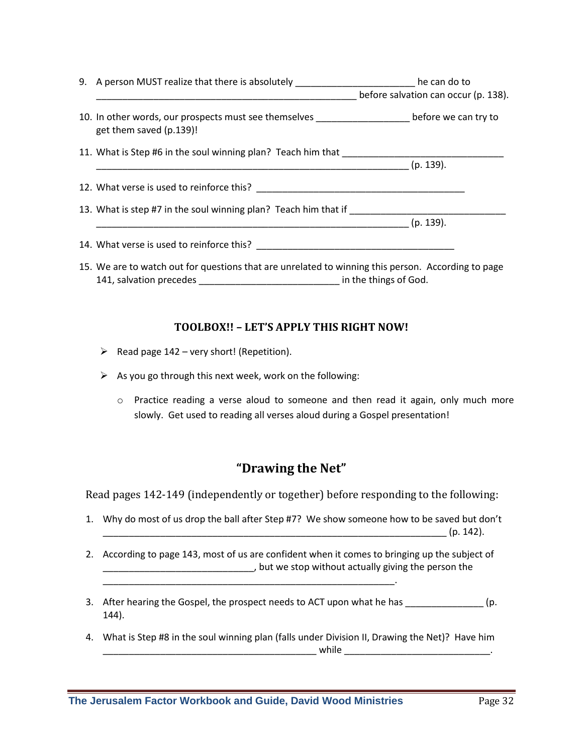|  | 9. A person MUST realize that there is absolutely ________________________he can do to                                       | before salvation can occur (p. 138). |
|--|------------------------------------------------------------------------------------------------------------------------------|--------------------------------------|
|  | 10. In other words, our prospects must see themselves _______________________before we can try to<br>get them saved (p.139)! |                                      |
|  | 11. What is Step #6 in the soul winning plan? Teach him that                                                                 |                                      |
|  |                                                                                                                              | $(p. 139)$ .                         |
|  |                                                                                                                              |                                      |
|  | 13. What is step #7 in the soul winning plan? Teach him that if                                                              |                                      |
|  |                                                                                                                              | $(p. 139)$ .                         |
|  | 14. What verse is used to reinforce this?                                                                                    |                                      |
|  | 15. We are to watch out for questions that are unrelated to winning this person. According to page                           |                                      |

141, salvation precedes \_\_\_\_\_\_\_\_\_\_\_\_\_\_\_\_\_\_\_\_\_\_\_\_\_\_\_ in the things of God.

#### **TOOLBOX!! – LET'S APPLY THIS RIGHT NOW!**

- $\triangleright$  Read page 142 very short! (Repetition).
- $\triangleright$  As you go through this next week, work on the following:
	- o Practice reading a verse aloud to someone and then read it again, only much more slowly. Get used to reading all verses aloud during a Gospel presentation!

# **"Drawing the Net"**

Read pages 142-149 (independently or together) before responding to the following:

- 1. Why do most of us drop the ball after Step #7? We show someone how to be saved but don't  $(p. 142)$ .
- 2. According to page 143, most of us are confident when it comes to bringing up the subject of \_\_\_\_\_\_\_\_\_\_\_\_\_\_\_\_\_\_\_\_\_\_\_\_\_\_\_\_\_, but we stop without actually giving the person the
- 3. After hearing the Gospel, the prospect needs to ACT upon what he has \_\_\_\_\_\_\_\_\_\_\_\_\_\_\_\_ (p. 144).
- 4. What is Step #8 in the soul winning plan (falls under Division II, Drawing the Net)? Have him  $while$

\_\_\_\_\_\_\_\_\_\_\_\_\_\_\_\_\_\_\_\_\_\_\_\_\_\_\_\_\_\_\_\_\_\_\_\_\_\_\_\_\_\_\_\_\_\_\_\_\_\_\_\_\_\_\_\_.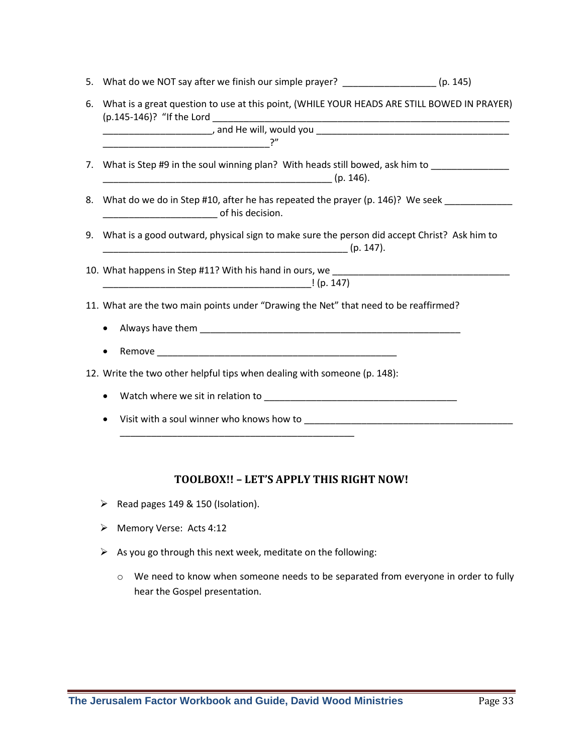| 5. | What do we NOT say after we finish our simple prayer? __________________(p. 145)                               |  |  |
|----|----------------------------------------------------------------------------------------------------------------|--|--|
| 6. | What is a great question to use at this point, (WHILE YOUR HEADS ARE STILL BOWED IN PRAYER)                    |  |  |
|    |                                                                                                                |  |  |
|    |                                                                                                                |  |  |
|    | 7. What is Step #9 in the soul winning plan? With heads still bowed, ask him to ______________                 |  |  |
|    |                                                                                                                |  |  |
| 8. | What do we do in Step #10, after he has repeated the prayer (p. 146)? We seek ________________________________ |  |  |
| 9. | What is a good outward, physical sign to make sure the person did accept Christ? Ask him to                    |  |  |
|    |                                                                                                                |  |  |
|    |                                                                                                                |  |  |
|    | 11. What are the two main points under "Drawing the Net" that need to be reaffirmed?                           |  |  |
|    |                                                                                                                |  |  |
|    | ٠                                                                                                              |  |  |
|    | 12. Write the two other helpful tips when dealing with someone (p. 148):                                       |  |  |
|    | ٠                                                                                                              |  |  |
|    |                                                                                                                |  |  |
|    |                                                                                                                |  |  |

#### **TOOLBOX!! – LET'S APPLY THIS RIGHT NOW!**

- Read pages 149 & 150 (Isolation).
- > Memory Verse: Acts 4:12
- $\triangleright$  As you go through this next week, meditate on the following:
	- o We need to know when someone needs to be separated from everyone in order to fully hear the Gospel presentation.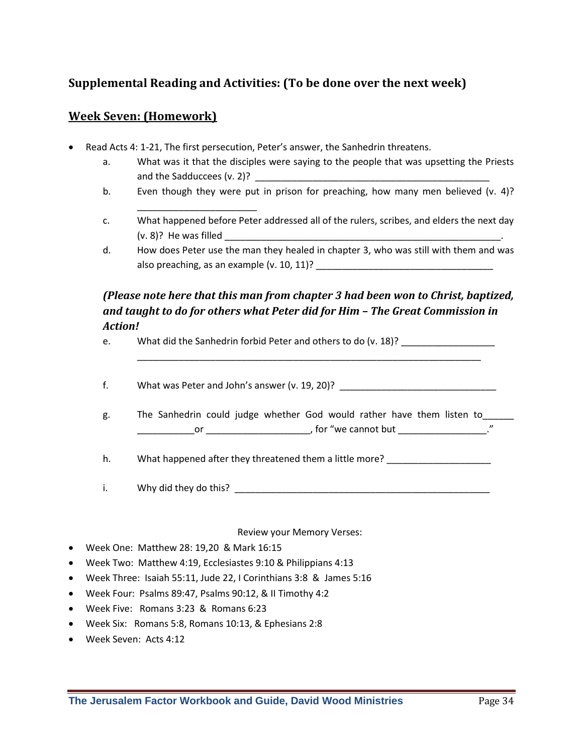## **Supplemental Reading and Activities: (To be done over the next week)**

#### **Week Seven: (Homework)**

Read Acts 4: 1-21, The first persecution, Peter's answer, the Sanhedrin threatens.

\_\_\_\_\_\_\_\_\_\_\_\_\_\_\_\_\_\_\_\_\_\_\_

- a. What was it that the disciples were saying to the people that was upsetting the Priests and the Sadduccees (v. 2)?
- b. Even though they were put in prison for preaching, how many men believed (v. 4)?
- c. What happened before Peter addressed all of the rulers, scribes, and elders the next day  $(v. 8)$ ? He was filled
- d. How does Peter use the man they healed in chapter 3, who was still with them and was also preaching, as an example (v. 10, 11)? \_\_\_\_\_\_\_\_\_\_\_\_\_\_\_\_\_\_\_\_\_\_\_\_\_\_\_\_\_\_\_\_\_\_

### *(Please note here that this man from chapter 3 had been won to Christ, baptized, and taught to do for others what Peter did for Him – The Great Commission in Action!*

\_\_\_\_\_\_\_\_\_\_\_\_\_\_\_\_\_\_\_\_\_\_\_\_\_\_\_\_\_\_\_\_\_\_\_\_\_\_\_\_\_\_\_\_\_\_\_\_\_\_\_\_\_\_\_\_\_\_\_\_\_\_\_\_\_\_

e. What did the Sanhedrin forbid Peter and others to do (v. 18)?

f. What was Peter and John's answer (v. 19, 20)?

g. The Sanhedrin could judge whether God would rather have them listen to\_\_\_\_\_\_ example to the contract of the control of the control of the cannot but  $\cdot$  . The contract of the control of the contract of the contract of the contract of the contract of the contract of the contract of the contract of

h. What happened after they threatened them a little more?

i. Why did they do this? \_\_\_\_\_\_\_\_\_\_\_\_\_\_\_\_\_\_\_\_\_\_\_\_\_\_\_\_\_\_\_\_\_\_\_\_\_\_\_\_\_\_\_\_\_\_\_\_\_

Review your Memory Verses:

- Week One: Matthew 28: 19,20 & Mark 16:15
- Week Two: Matthew 4:19, Ecclesiastes 9:10 & Philippians 4:13
- Week Three: Isaiah 55:11, Jude 22, I Corinthians 3:8 & James 5:16
- Week Four: Psalms 89:47, Psalms 90:12, & II Timothy 4:2
- Week Five: Romans 3:23 & Romans 6:23
- Week Six: Romans 5:8, Romans 10:13, & Ephesians 2:8
- Week Seven: Acts 4:12